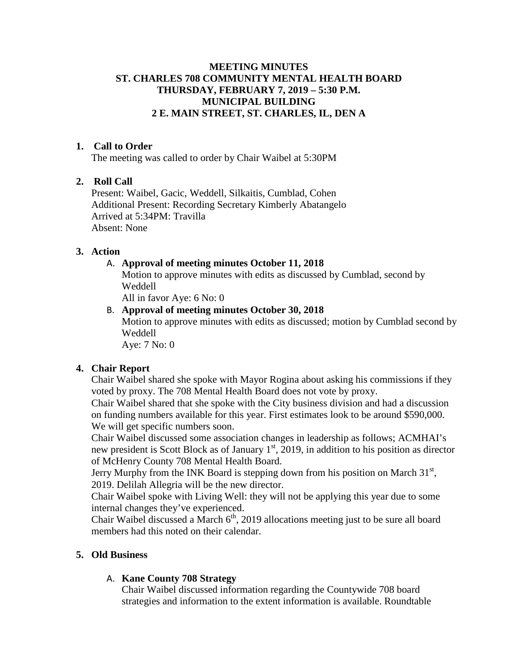## **MEETING MINUTES ST. CHARLES 708 COMMUNITY MENTAL HEALTH BOARD THURSDAY, FEBRUARY 7, 2019 – 5:30 P.M. MUNICIPAL BUILDING 2 E. MAIN STREET, ST. CHARLES, IL, DEN A**

## **1. Call to Order**

The meeting was called to order by Chair Waibel at 5:30PM

## **2. Roll Call**

Present: Waibel, Gacic, Weddell, Silkaitis, Cumblad, Cohen Additional Present: Recording Secretary Kimberly Abatangelo Arrived at 5:34PM: Travilla Absent: None

## **3. Action**

## A. **Approval of meeting minutes October 11, 2018**

Motion to approve minutes with edits as discussed by Cumblad, second by Weddell

All in favor Aye: 6 No: 0

# B. **Approval of meeting minutes October 30, 2018**

Motion to approve minutes with edits as discussed; motion by Cumblad second by Weddell

Aye: 7 No: 0

## **4. Chair Report**

Chair Waibel shared she spoke with Mayor Rogina about asking his commissions if they voted by proxy. The 708 Mental Health Board does not vote by proxy.

Chair Waibel shared that she spoke with the City business division and had a discussion on funding numbers available for this year. First estimates look to be around \$590,000. We will get specific numbers soon.

Chair Waibel discussed some association changes in leadership as follows; ACMHAI's new president is Scott Block as of January  $1<sup>st</sup>$ , 2019, in addition to his position as director of McHenry County 708 Mental Health Board.

Jerry Murphy from the INK Board is stepping down from his position on March  $31<sup>st</sup>$ , 2019. Delilah Allegria will be the new director.

Chair Waibel spoke with Living Well: they will not be applying this year due to some internal changes they've experienced.

Chair Waibel discussed a March  $6<sup>th</sup>$ , 2019 allocations meeting just to be sure all board members had this noted on their calendar.

# **5. Old Business**

# A. **Kane County 708 Strategy**

Chair Waibel discussed information regarding the Countywide 708 board strategies and information to the extent information is available. Roundtable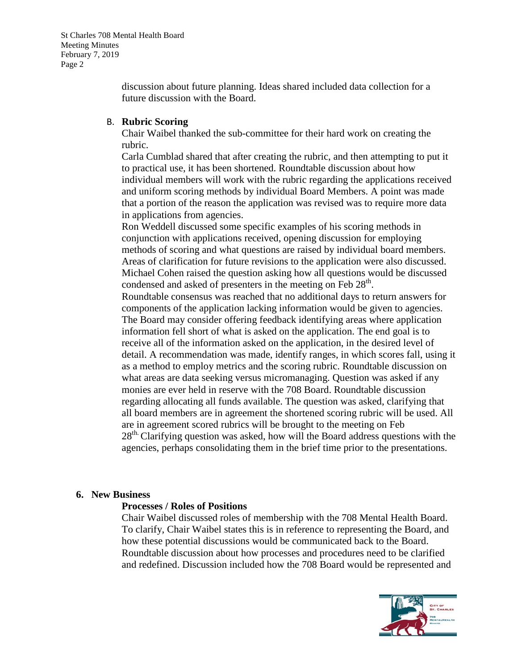discussion about future planning. Ideas shared included data collection for a future discussion with the Board.

## B. **Rubric Scoring**

Chair Waibel thanked the sub-committee for their hard work on creating the rubric.

Carla Cumblad shared that after creating the rubric, and then attempting to put it to practical use, it has been shortened. Roundtable discussion about how individual members will work with the rubric regarding the applications received and uniform scoring methods by individual Board Members. A point was made that a portion of the reason the application was revised was to require more data in applications from agencies.

Ron Weddell discussed some specific examples of his scoring methods in conjunction with applications received, opening discussion for employing methods of scoring and what questions are raised by individual board members. Areas of clarification for future revisions to the application were also discussed. Michael Cohen raised the question asking how all questions would be discussed condensed and asked of presenters in the meeting on Feb  $28<sup>th</sup>$ .

Roundtable consensus was reached that no additional days to return answers for components of the application lacking information would be given to agencies. The Board may consider offering feedback identifying areas where application information fell short of what is asked on the application. The end goal is to receive all of the information asked on the application, in the desired level of detail. A recommendation was made, identify ranges, in which scores fall, using it as a method to employ metrics and the scoring rubric. Roundtable discussion on what areas are data seeking versus micromanaging. Question was asked if any monies are ever held in reserve with the 708 Board. Roundtable discussion regarding allocating all funds available. The question was asked, clarifying that all board members are in agreement the shortened scoring rubric will be used. All are in agreement scored rubrics will be brought to the meeting on Feb  $28<sup>th</sup>$  Clarifying question was asked, how will the Board address questions with the agencies, perhaps consolidating them in the brief time prior to the presentations.

# **6. New Business**

## **Processes / Roles of Positions**

Chair Waibel discussed roles of membership with the 708 Mental Health Board. To clarify, Chair Waibel states this is in reference to representing the Board, and how these potential discussions would be communicated back to the Board. Roundtable discussion about how processes and procedures need to be clarified and redefined. Discussion included how the 708 Board would be represented and